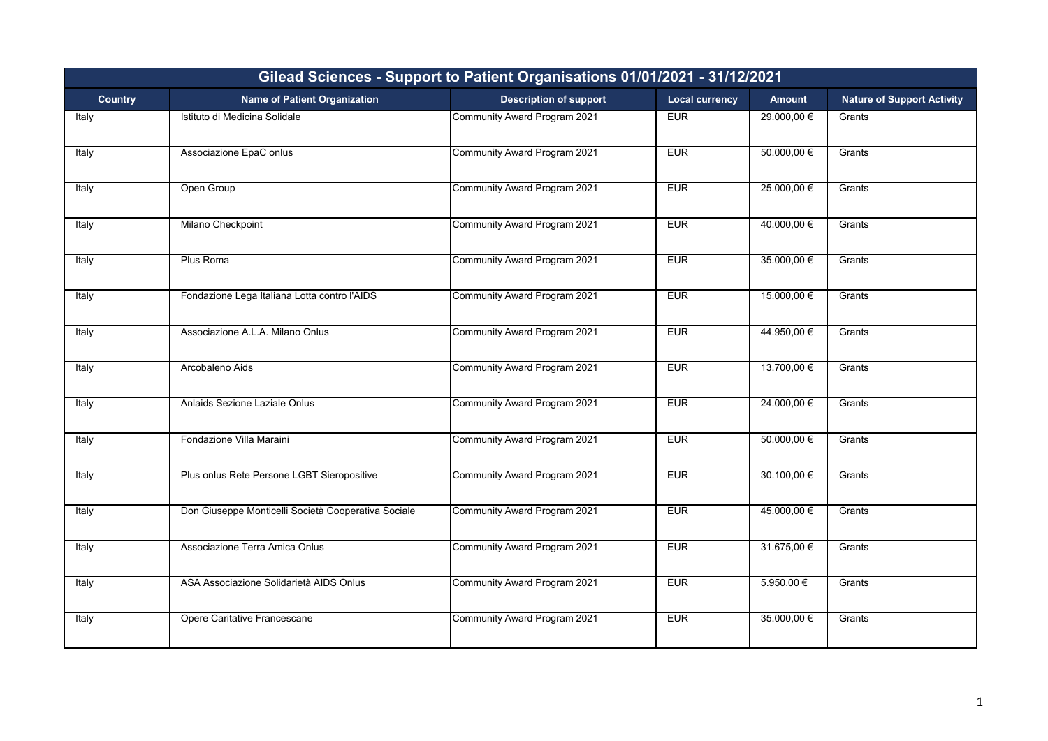| Gilead Sciences - Support to Patient Organisations 01/01/2021 - 31/12/2021 |                                                     |                               |                       |                 |                                   |  |
|----------------------------------------------------------------------------|-----------------------------------------------------|-------------------------------|-----------------------|-----------------|-----------------------------------|--|
| <b>Country</b>                                                             | <b>Name of Patient Organization</b>                 | <b>Description of support</b> | <b>Local currency</b> | <b>Amount</b>   | <b>Nature of Support Activity</b> |  |
| Italy                                                                      | Istituto di Medicina Solidale                       | Community Award Program 2021  | <b>EUR</b>            | 29.000,00 €     | Grants                            |  |
| Italy                                                                      | Associazione EpaC onlus                             | Community Award Program 2021  | <b>EUR</b>            | $50.000,00 \in$ | Grants                            |  |
| Italy                                                                      | Open Group                                          | Community Award Program 2021  | EUR                   | 25.000,00 €     | Grants                            |  |
| Italy                                                                      | Milano Checkpoint                                   | Community Award Program 2021  | <b>EUR</b>            | 40.000,00 €     | Grants                            |  |
| Italy                                                                      | Plus Roma                                           | Community Award Program 2021  | <b>EUR</b>            | 35.000,00 €     | Grants                            |  |
| Italy                                                                      | Fondazione Lega Italiana Lotta contro l'AIDS        | Community Award Program 2021  | <b>EUR</b>            | 15.000,00 €     | Grants                            |  |
| Italy                                                                      | Associazione A.L.A. Milano Onlus                    | Community Award Program 2021  | <b>EUR</b>            | 44.950,00 €     | Grants                            |  |
| Italy                                                                      | Arcobaleno Aids                                     | Community Award Program 2021  | <b>EUR</b>            | 13.700,00 €     | Grants                            |  |
| Italy                                                                      | Anlaids Sezione Laziale Onlus                       | Community Award Program 2021  | EUR                   | 24.000,00 €     | Grants                            |  |
| Italy                                                                      | Fondazione Villa Maraini                            | Community Award Program 2021  | <b>EUR</b>            | 50.000,00€      | Grants                            |  |
| Italy                                                                      | Plus onlus Rete Persone LGBT Sieropositive          | Community Award Program 2021  | <b>EUR</b>            | 30.100,00€      | Grants                            |  |
| Italy                                                                      | Don Giuseppe Monticelli Società Cooperativa Sociale | Community Award Program 2021  | <b>EUR</b>            | 45.000,00 €     | Grants                            |  |
| Italy                                                                      | Associazione Terra Amica Onlus                      | Community Award Program 2021  | <b>EUR</b>            | 31.675,00 €     | Grants                            |  |
| Italy                                                                      | ASA Associazione Solidarietà AIDS Onlus             | Community Award Program 2021  | <b>EUR</b>            | $5.950,00 \in$  | Grants                            |  |
| Italy                                                                      | Opere Caritative Francescane                        | Community Award Program 2021  | <b>EUR</b>            | 35.000,00 €     | Grants                            |  |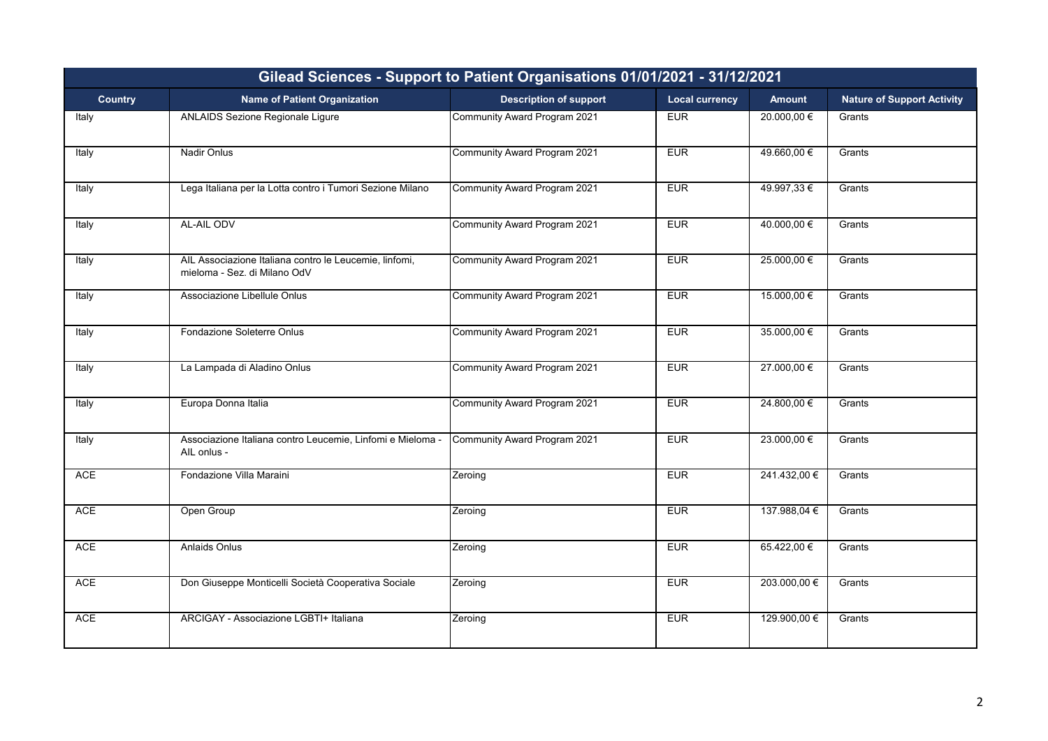| Gilead Sciences - Support to Patient Organisations 01/01/2021 - 31/12/2021 |                                                                                        |                               |                       |               |                                   |  |
|----------------------------------------------------------------------------|----------------------------------------------------------------------------------------|-------------------------------|-----------------------|---------------|-----------------------------------|--|
| <b>Country</b>                                                             | <b>Name of Patient Organization</b>                                                    | <b>Description of support</b> | <b>Local currency</b> | <b>Amount</b> | <b>Nature of Support Activity</b> |  |
| Italy                                                                      | <b>ANLAIDS Sezione Regionale Ligure</b>                                                | Community Award Program 2021  | <b>EUR</b>            | 20.000,00 €   | Grants                            |  |
| Italy                                                                      | Nadir Onlus                                                                            | Community Award Program 2021  | <b>EUR</b>            | 49.660,00 €   | Grants                            |  |
| Italy                                                                      | Lega Italiana per la Lotta contro i Tumori Sezione Milano                              | Community Award Program 2021  | EUR                   | 49.997,33€    | Grants                            |  |
| Italy                                                                      | AL-AIL ODV                                                                             | Community Award Program 2021  | <b>EUR</b>            | 40.000,00 €   | Grants                            |  |
| Italy                                                                      | AIL Associazione Italiana contro le Leucemie, linfomi,<br>mieloma - Sez. di Milano OdV | Community Award Program 2021  | <b>EUR</b>            | 25.000,00 €   | Grants                            |  |
| Italy                                                                      | Associazione Libellule Onlus                                                           | Community Award Program 2021  | <b>EUR</b>            | 15.000,00 €   | Grants                            |  |
| Italy                                                                      | Fondazione Soleterre Onlus                                                             | Community Award Program 2021  | <b>EUR</b>            | 35.000,00 €   | Grants                            |  |
| Italy                                                                      | La Lampada di Aladino Onlus                                                            | Community Award Program 2021  | <b>EUR</b>            | 27.000,00 €   | Grants                            |  |
| Italy                                                                      | Europa Donna Italia                                                                    | Community Award Program 2021  | <b>EUR</b>            | 24.800,00 €   | Grants                            |  |
| Italy                                                                      | Associazione Italiana contro Leucemie, Linfomi e Mieloma -<br>AIL onlus -              | Community Award Program 2021  | <b>EUR</b>            | 23.000,00 €   | Grants                            |  |
| <b>ACE</b>                                                                 | Fondazione Villa Maraini                                                               | Zeroing                       | <b>EUR</b>            | 241.432,00 €  | Grants                            |  |
| <b>ACE</b>                                                                 | Open Group                                                                             | Zeroing                       | <b>EUR</b>            | 137.988,04 €  | Grants                            |  |
| <b>ACE</b>                                                                 | <b>Anlaids Onlus</b>                                                                   | Zeroing                       | <b>EUR</b>            | 65.422,00€    | Grants                            |  |
| ACE                                                                        | Don Giuseppe Monticelli Società Cooperativa Sociale                                    | Zeroing                       | <b>EUR</b>            | 203.000,00 €  | Grants                            |  |
| <b>ACE</b>                                                                 | ARCIGAY - Associazione LGBTI+ Italiana                                                 | Zeroing                       | <b>EUR</b>            | 129.900,00 €  | Grants                            |  |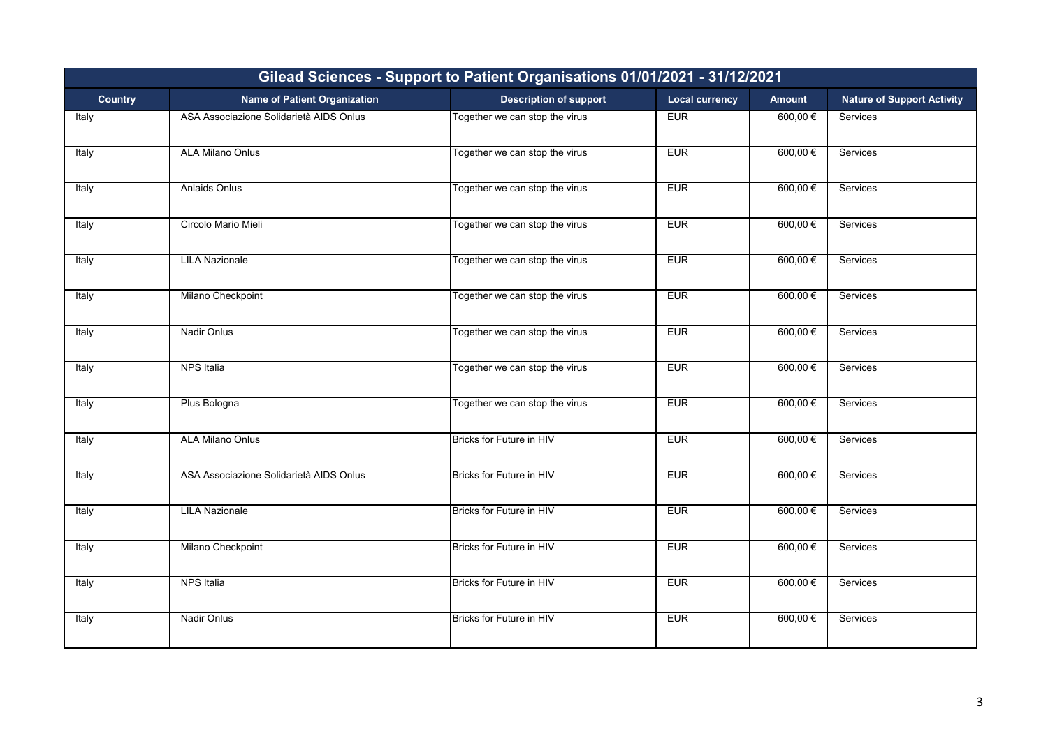| Gilead Sciences - Support to Patient Organisations 01/01/2021 - 31/12/2021 |                                         |                                |                       |               |                                   |
|----------------------------------------------------------------------------|-----------------------------------------|--------------------------------|-----------------------|---------------|-----------------------------------|
| <b>Country</b>                                                             | <b>Name of Patient Organization</b>     | <b>Description of support</b>  | <b>Local currency</b> | <b>Amount</b> | <b>Nature of Support Activity</b> |
| Italy                                                                      | ASA Associazione Solidarietà AIDS Onlus | Together we can stop the virus | <b>EUR</b>            | $600,00 \in$  | Services                          |
| Italy                                                                      | <b>ALA Milano Onlus</b>                 | Together we can stop the virus | <b>EUR</b>            | $600,00 \in$  | Services                          |
| Italy                                                                      | <b>Anlaids Onlus</b>                    | Together we can stop the virus | EUR                   | $600,00 \in$  | Services                          |
| Italy                                                                      | Circolo Mario Mieli                     | Together we can stop the virus | <b>EUR</b>            | 600,00€       | Services                          |
| Italy                                                                      | <b>LILA Nazionale</b>                   | Together we can stop the virus | <b>EUR</b>            | 600,00 €      | Services                          |
| Italy                                                                      | Milano Checkpoint                       | Together we can stop the virus | <b>EUR</b>            | $600,00 \in$  | Services                          |
| Italy                                                                      | <b>Nadir Onlus</b>                      | Together we can stop the virus | <b>EUR</b>            | $600,00 \in$  | Services                          |
| Italy                                                                      | <b>NPS Italia</b>                       | Together we can stop the virus | <b>EUR</b>            | 600,00 €      | Services                          |
| Italy                                                                      | Plus Bologna                            | Together we can stop the virus | <b>EUR</b>            | $600,00 \in$  | Services                          |
| Italy                                                                      | <b>ALA Milano Onlus</b>                 | Bricks for Future in HIV       | <b>EUR</b>            | $600,00 \in$  | Services                          |
| Italy                                                                      | ASA Associazione Solidarietà AIDS Onlus | Bricks for Future in HIV       | <b>EUR</b>            | $600,00 \in$  | Services                          |
| Italy                                                                      | <b>LILA Nazionale</b>                   | Bricks for Future in HIV       | <b>EUR</b>            | 600,00€       | Services                          |
| Italy                                                                      | Milano Checkpoint                       | Bricks for Future in HIV       | <b>EUR</b>            | $600,00 \in$  | Services                          |
| Italy                                                                      | NPS Italia                              | Bricks for Future in HIV       | <b>EUR</b>            | $600,00 \in$  | Services                          |
| Italy                                                                      | <b>Nadir Onlus</b>                      | Bricks for Future in HIV       | <b>EUR</b>            | $600,00 \in$  | Services                          |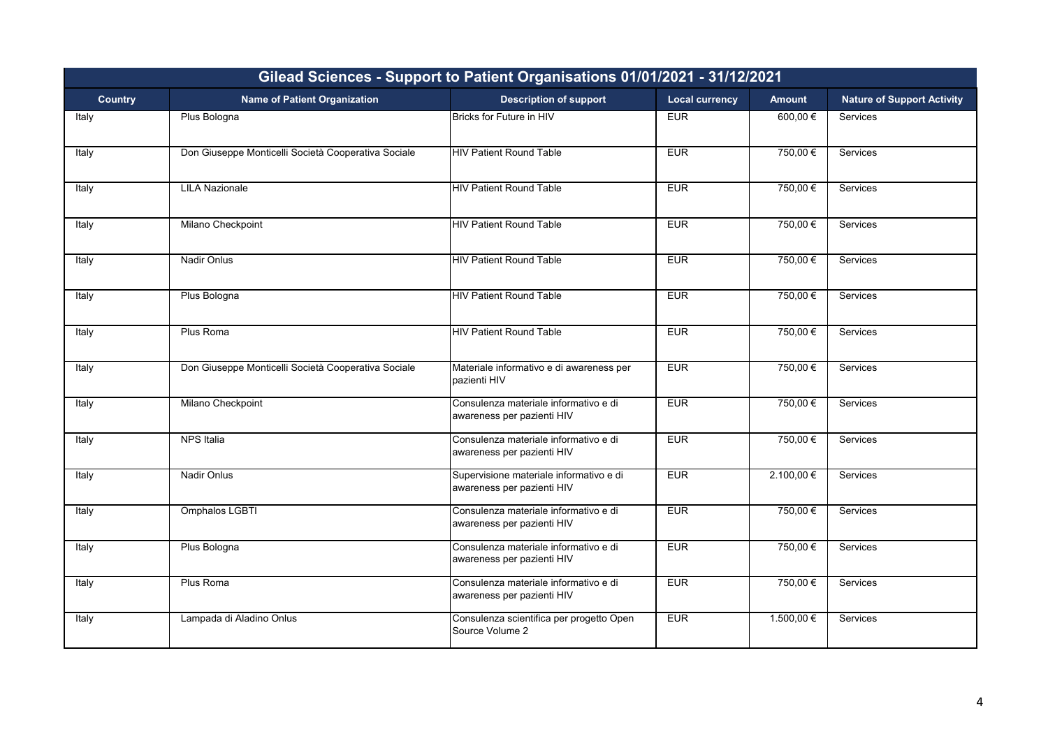| Gilead Sciences - Support to Patient Organisations 01/01/2021 - 31/12/2021 |                                                     |                                                                       |                       |                |                                   |  |
|----------------------------------------------------------------------------|-----------------------------------------------------|-----------------------------------------------------------------------|-----------------------|----------------|-----------------------------------|--|
| <b>Country</b>                                                             | <b>Name of Patient Organization</b>                 | <b>Description of support</b>                                         | <b>Local currency</b> | <b>Amount</b>  | <b>Nature of Support Activity</b> |  |
| Italy                                                                      | Plus Bologna                                        | <b>Bricks for Future in HIV</b>                                       | <b>EUR</b>            | 600,00€        | Services                          |  |
| Italy                                                                      | Don Giuseppe Monticelli Società Cooperativa Sociale | <b>HIV Patient Round Table</b>                                        | <b>EUR</b>            | 750,00€        | Services                          |  |
| Italy                                                                      | <b>LILA Nazionale</b>                               | <b>HIV Patient Round Table</b>                                        | <b>EUR</b>            | 750,00€        | <b>Services</b>                   |  |
| Italy                                                                      | Milano Checkpoint                                   | <b>HIV Patient Round Table</b>                                        | <b>EUR</b>            | 750,00€        | <b>Services</b>                   |  |
| Italy                                                                      | Nadir Onlus                                         | <b>HIV Patient Round Table</b>                                        | EUR                   | 750,00€        | Services                          |  |
| Italy                                                                      | Plus Bologna                                        | <b>HIV Patient Round Table</b>                                        | EUR                   | 750,00€        | Services                          |  |
| Italy                                                                      | Plus Roma                                           | <b>HIV Patient Round Table</b>                                        | <b>EUR</b>            | 750,00€        | Services                          |  |
| Italy                                                                      | Don Giuseppe Monticelli Società Cooperativa Sociale | Materiale informativo e di awareness per<br>pazienti HIV              | <b>EUR</b>            | 750,00€        | Services                          |  |
| Italy                                                                      | Milano Checkpoint                                   | Consulenza materiale informativo e di<br>awareness per pazienti HIV   | <b>EUR</b>            | 750,00€        | Services                          |  |
| Italy                                                                      | <b>NPS Italia</b>                                   | Consulenza materiale informativo e di<br>awareness per pazienti HIV   | <b>EUR</b>            | 750,00€        | Services                          |  |
| Italy                                                                      | <b>Nadir Onlus</b>                                  | Supervisione materiale informativo e di<br>awareness per pazienti HIV | EUR                   | 2.100,00€      | Services                          |  |
| Italy                                                                      | Omphalos LGBTI                                      | Consulenza materiale informativo e di<br>awareness per pazienti HIV   | <b>EUR</b>            | 750,00€        | Services                          |  |
| Italy                                                                      | Plus Bologna                                        | Consulenza materiale informativo e di<br>awareness per pazienti HIV   | EUR                   | 750,00€        | Services                          |  |
| Italy                                                                      | Plus Roma                                           | Consulenza materiale informativo e di<br>awareness per pazienti HIV   | <b>EUR</b>            | 750,00€        | Services                          |  |
| Italy                                                                      | Lampada di Aladino Onlus                            | Consulenza scientifica per progetto Open<br>Source Volume 2           | EUR                   | $1.500,00 \in$ | Services                          |  |